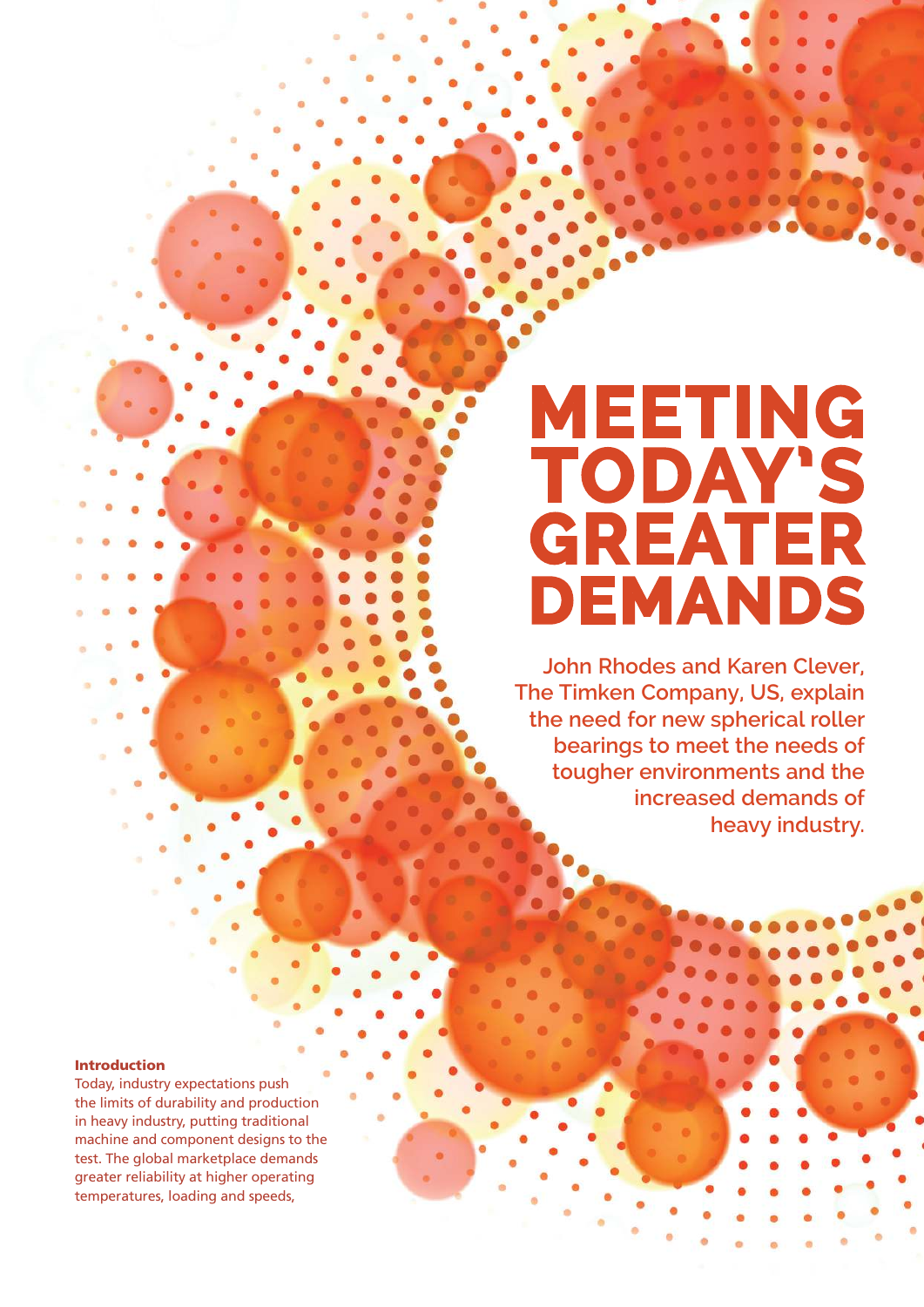# **MEETING TODAY'S GREATER DEMANDS**

**John Rhodes and Karen Clever, The Timken Company, US, explain the need for new spherical roller bearings to meet the needs of tougher environments and the increased demands of heavy industry.**

### Introduction

Today, industry expectations push the limits of durability and production in heavy industry, putting traditional machine and component designs to the test. The global marketplace demands greater reliability at higher operating temperatures, loading and speeds,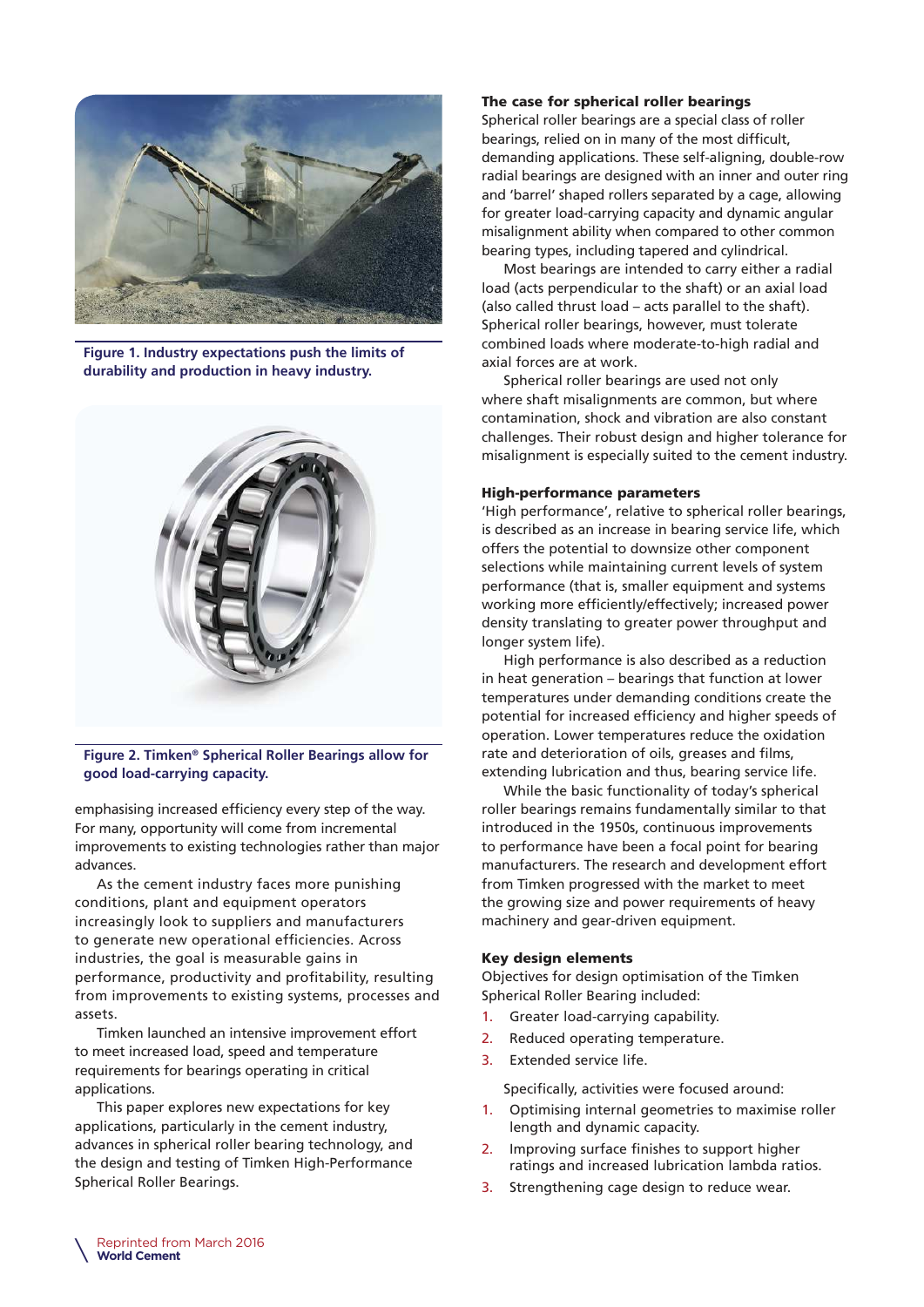

**Figure 1. Industry expectations push the limits of durability and production in heavy industry.**



**Figure 2. Timken® Spherical Roller Bearings allow for good load-carrying capacity.**

emphasising increased efficiency every step of the way. For many, opportunity will come from incremental improvements to existing technologies rather than major advances.

As the cement industry faces more punishing conditions, plant and equipment operators increasingly look to suppliers and manufacturers to generate new operational efficiencies. Across industries, the goal is measurable gains in performance, productivity and profitability, resulting from improvements to existing systems, processes and assets.

Timken launched an intensive improvement effort to meet increased load, speed and temperature requirements for bearings operating in critical applications.

This paper explores new expectations for key applications, particularly in the cement industry, advances in spherical roller bearing technology, and the design and testing of Timken High-Performance Spherical Roller Bearings.

# The case for spherical roller bearings

Spherical roller bearings are a special class of roller bearings, relied on in many of the most difficult, demanding applications. These self-aligning, double-row radial bearings are designed with an inner and outer ring and 'barrel' shaped rollers separated by a cage, allowing for greater load-carrying capacity and dynamic angular misalignment ability when compared to other common bearing types, including tapered and cylindrical.

Most bearings are intended to carry either a radial load (acts perpendicular to the shaft) or an axial load (also called thrust load – acts parallel to the shaft). Spherical roller bearings, however, must tolerate combined loads where moderate-to-high radial and axial forces are at work.

Spherical roller bearings are used not only where shaft misalignments are common, but where contamination, shock and vibration are also constant challenges. Their robust design and higher tolerance for misalignment is especially suited to the cement industry.

### High-performance parameters

'High performance', relative to spherical roller bearings, is described as an increase in bearing service life, which offers the potential to downsize other component selections while maintaining current levels of system performance (that is, smaller equipment and systems working more efficiently/effectively; increased power density translating to greater power throughput and longer system life).

High performance is also described as a reduction in heat generation – bearings that function at lower temperatures under demanding conditions create the potential for increased efficiency and higher speeds of operation. Lower temperatures reduce the oxidation rate and deterioration of oils, greases and films, extending lubrication and thus, bearing service life.

While the basic functionality of today's spherical roller bearings remains fundamentally similar to that introduced in the 1950s, continuous improvements to performance have been a focal point for bearing manufacturers. The research and development effort from Timken progressed with the market to meet the growing size and power requirements of heavy machinery and gear-driven equipment.

#### Key design elements

Objectives for design optimisation of the Timken Spherical Roller Bearing included:

- 1. Greater load-carrying capability.
- 2. Reduced operating temperature.
- 3. Extended service life.

Specifically, activities were focused around:

- 1. Optimising internal geometries to maximise roller length and dynamic capacity.
- 2. Improving surface finishes to support higher ratings and increased lubrication lambda ratios.
- 3. Strengthening cage design to reduce wear.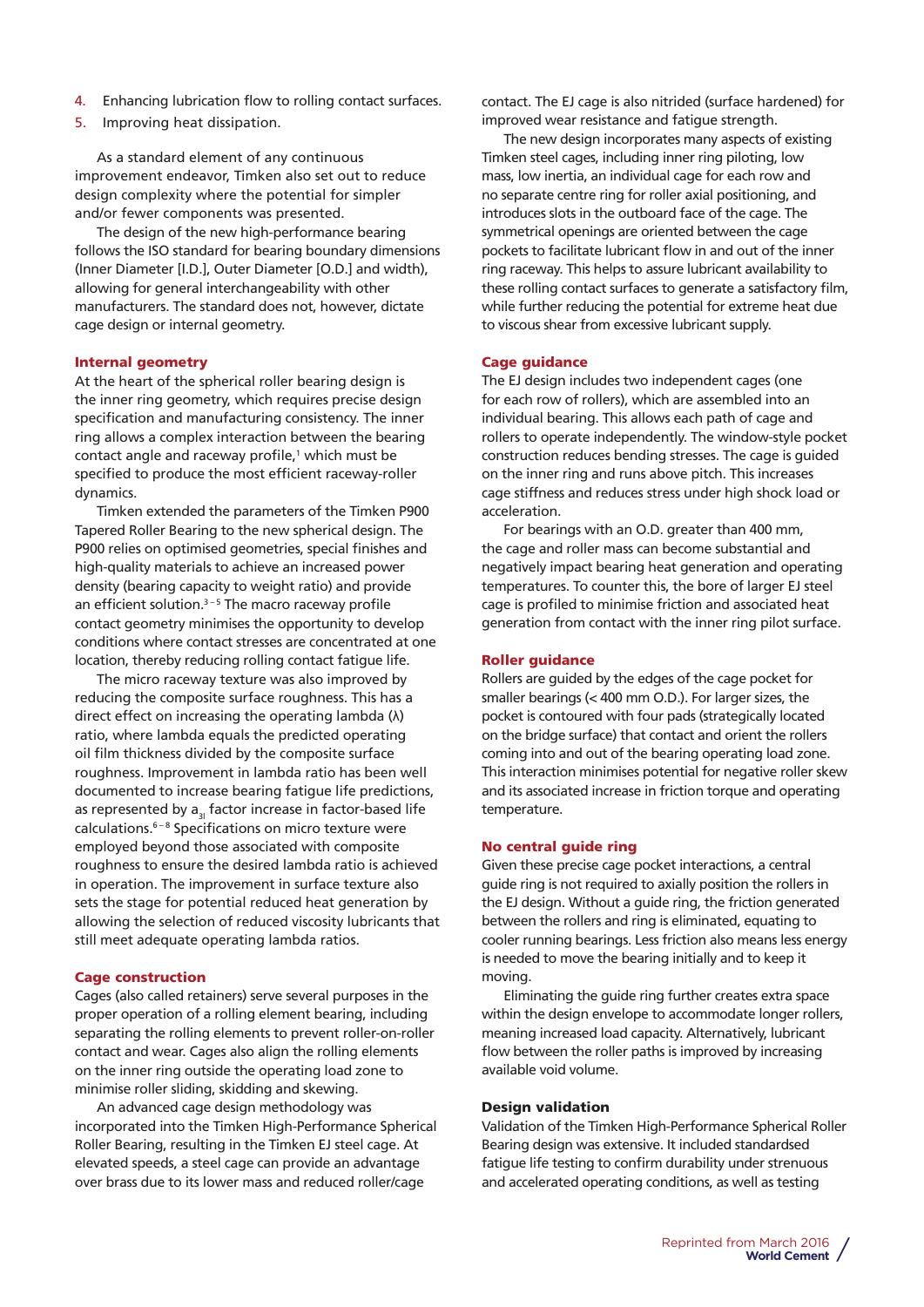- 4. Enhancing lubrication flow to rolling contact surfaces.
- 5. Improving heat dissipation.

As a standard element of any continuous improvement endeavor, Timken also set out to reduce design complexity where the potential for simpler and/or fewer components was presented.

The design of the new high-performance bearing follows the ISO standard for bearing boundary dimensions (Inner Diameter [I.D.], Outer Diameter [O.D.] and width), allowing for general interchangeability with other manufacturers. The standard does not, however, dictate cage design or internal geometry.

#### Internal geometry

At the heart of the spherical roller bearing design is the inner ring geometry, which requires precise design specification and manufacturing consistency. The inner ring allows a complex interaction between the bearing contact angle and raceway profile,<sup>1</sup> which must be specified to produce the most efficient raceway-roller dynamics.

Timken extended the parameters of the Timken P900 Tapered Roller Bearing to the new spherical design. The P900 relies on optimised geometries, special finishes and high-quality materials to achieve an increased power density (bearing capacity to weight ratio) and provide an efficient solution. $3 - 5$  The macro raceway profile contact geometry minimises the opportunity to develop conditions where contact stresses are concentrated at one location, thereby reducing rolling contact fatigue life.

The micro raceway texture was also improved by reducing the composite surface roughness. This has a direct effect on increasing the operating lambda (λ) ratio, where lambda equals the predicted operating oil film thickness divided by the composite surface roughness. Improvement in lambda ratio has been well documented to increase bearing fatigue life predictions, as represented by  $a_{21}$  factor increase in factor-based life calculations.6 – 8 Specifications on micro texture were employed beyond those associated with composite roughness to ensure the desired lambda ratio is achieved in operation. The improvement in surface texture also sets the stage for potential reduced heat generation by allowing the selection of reduced viscosity lubricants that still meet adequate operating lambda ratios.

### Cage construction

Cages (also called retainers) serve several purposes in the proper operation of a rolling element bearing, including separating the rolling elements to prevent roller-on-roller contact and wear. Cages also align the rolling elements on the inner ring outside the operating load zone to minimise roller sliding, skidding and skewing.

An advanced cage design methodology was incorporated into the Timken High-Performance Spherical Roller Bearing, resulting in the Timken EJ steel cage. At elevated speeds, a steel cage can provide an advantage over brass due to its lower mass and reduced roller/cage

contact. The EJ cage is also nitrided (surface hardened) for improved wear resistance and fatigue strength.

The new design incorporates many aspects of existing Timken steel cages, including inner ring piloting, low mass, low inertia, an individual cage for each row and no separate centre ring for roller axial positioning, and introduces slots in the outboard face of the cage. The symmetrical openings are oriented between the cage pockets to facilitate lubricant flow in and out of the inner ring raceway. This helps to assure lubricant availability to these rolling contact surfaces to generate a satisfactory film, while further reducing the potential for extreme heat due to viscous shear from excessive lubricant supply.

#### Cage guidance

The EJ design includes two independent cages (one for each row of rollers), which are assembled into an individual bearing. This allows each path of cage and rollers to operate independently. The window-style pocket construction reduces bending stresses. The cage is guided on the inner ring and runs above pitch. This increases cage stiffness and reduces stress under high shock load or acceleration.

For bearings with an O.D. greater than 400 mm, the cage and roller mass can become substantial and negatively impact bearing heat generation and operating temperatures. To counter this, the bore of larger EJ steel cage is profiled to minimise friction and associated heat generation from contact with the inner ring pilot surface.

#### Roller guidance

Rollers are guided by the edges of the cage pocket for smaller bearings (< 400 mm O.D.). For larger sizes, the pocket is contoured with four pads (strategically located on the bridge surface) that contact and orient the rollers coming into and out of the bearing operating load zone. This interaction minimises potential for negative roller skew and its associated increase in friction torque and operating temperature.

#### No central guide ring

Given these precise cage pocket interactions, a central guide ring is not required to axially position the rollers in the EJ design. Without a guide ring, the friction generated between the rollers and ring is eliminated, equating to cooler running bearings. Less friction also means less energy is needed to move the bearing initially and to keep it moving.

Eliminating the guide ring further creates extra space within the design envelope to accommodate longer rollers, meaning increased load capacity. Alternatively, lubricant flow between the roller paths is improved by increasing available void volume.

#### Design validation

Validation of the Timken High-Performance Spherical Roller Bearing design was extensive. It included standardsed fatigue life testing to confirm durability under strenuous and accelerated operating conditions, as well as testing